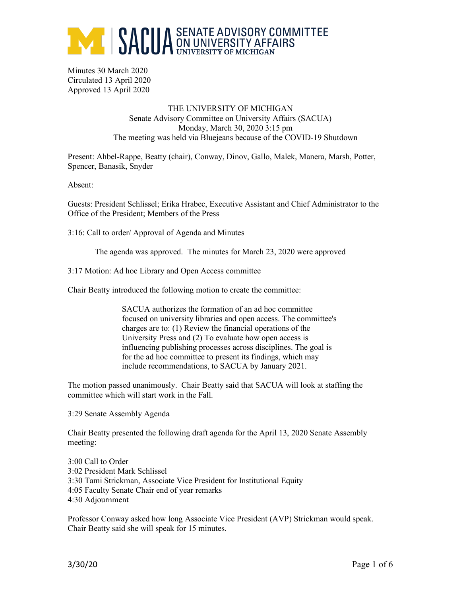

Minutes 30 March 2020 Circulated 13 April 2020 Approved 13 April 2020

> THE UNIVERSITY OF MICHIGAN Senate Advisory Committee on University Affairs (SACUA) Monday, March 30, 2020 3:15 pm The meeting was held via Bluejeans because of the COVID-19 Shutdown

Present: Ahbel-Rappe, Beatty (chair), Conway, Dinov, Gallo, Malek, Manera, Marsh, Potter, Spencer, Banasik, Snyder

Absent:

Guests: President Schlissel; Erika Hrabec, Executive Assistant and Chief Administrator to the Office of the President; Members of the Press

3:16: Call to order/ Approval of Agenda and Minutes

The agenda was approved. The minutes for March 23, 2020 were approved

3:17 Motion: Ad hoc Library and Open Access committee

Chair Beatty introduced the following motion to create the committee:

SACUA authorizes the formation of an ad hoc committee focused on university libraries and open access. The committee's charges are to: (1) Review the financial operations of the University Press and (2) To evaluate how open access is influencing publishing processes across disciplines. The goal is for the ad hoc committee to present its findings, which may include recommendations, to SACUA by January 2021.

The motion passed unanimously. Chair Beatty said that SACUA will look at staffing the committee which will start work in the Fall.

3:29 Senate Assembly Agenda

Chair Beatty presented the following draft agenda for the April 13, 2020 Senate Assembly meeting:

3:00 Call to Order 3:02 President Mark Schlissel 3:30 Tami Strickman, Associate Vice President for Institutional Equity 4:05 Faculty Senate Chair end of year remarks 4:30 Adjournment

Professor Conway asked how long Associate Vice President (AVP) Strickman would speak. Chair Beatty said she will speak for 15 minutes.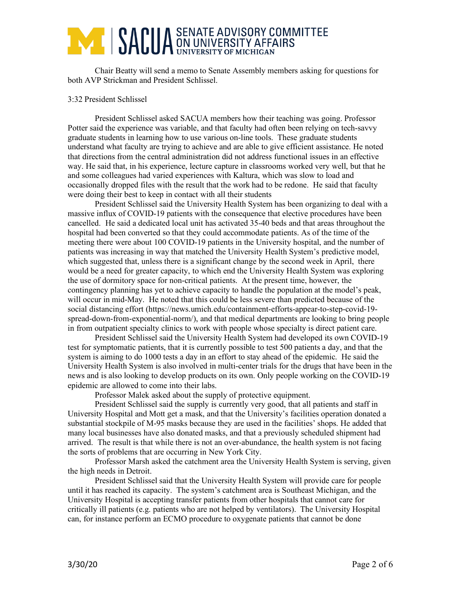## **ANDUA** SENATE ADVISORY COMMITTEE

Chair Beatty will send a memo to Senate Assembly members asking for questions for both AVP Strickman and President Schlissel.

### 3:32 President Schlissel

President Schlissel asked SACUA members how their teaching was going. Professor Potter said the experience was variable, and that faculty had often been relying on tech-savvy graduate students in learning how to use various on-line tools. These graduate students understand what faculty are trying to achieve and are able to give efficient assistance. He noted that directions from the central administration did not address functional issues in an effective way. He said that, in his experience, lecture capture in classrooms worked very well, but that he and some colleagues had varied experiences with Kaltura, which was slow to load and occasionally dropped files with the result that the work had to be redone. He said that faculty were doing their best to keep in contact with all their students

President Schlissel said the University Health System has been organizing to deal with a massive influx of COVID-19 patients with the consequence that elective procedures have been cancelled. He said a dedicated local unit has activated 35-40 beds and that areas throughout the hospital had been converted so that they could accommodate patients. As of the time of the meeting there were about 100 COVID-19 patients in the University hospital, and the number of patients was increasing in way that matched the University Health System's predictive model, which suggested that, unless there is a significant change by the second week in April, there would be a need for greater capacity, to which end the University Health System was exploring the use of dormitory space for non-critical patients. At the present time, however, the contingency planning has yet to achieve capacity to handle the population at the model's peak, will occur in mid-May. He noted that this could be less severe than predicted because of the social distancing effort (https://news.umich.edu/containment-efforts-appear-to-step-covid-19 spread-down-from-exponential-norm/), and that medical departments are looking to bring people in from outpatient specialty clinics to work with people whose specialty is direct patient care.

President Schlissel said the University Health System had developed its own COVID-19 test for symptomatic patients, that it is currently possible to test 500 patients a day, and that the system is aiming to do 1000 tests a day in an effort to stay ahead of the epidemic. He said the University Health System is also involved in multi-center trials for the drugs that have been in the news and is also looking to develop products on its own. Only people working on the COVID-19 epidemic are allowed to come into their labs.

Professor Malek asked about the supply of protective equipment.

President Schlissel said the supply is currently very good, that all patients and staff in University Hospital and Mott get a mask, and that the University's facilities operation donated a substantial stockpile of M-95 masks because they are used in the facilities' shops. He added that many local businesses have also donated masks, and that a previously scheduled shipment had arrived. The result is that while there is not an over-abundance, the health system is not facing the sorts of problems that are occurring in New York City.

Professor Marsh asked the catchment area the University Health System is serving, given the high needs in Detroit.

President Schlissel said that the University Health System will provide care for people until it has reached its capacity. The system's catchment area is Southeast Michigan, and the University Hospital is accepting transfer patients from other hospitals that cannot care for critically ill patients (e.g. patients who are not helped by ventilators). The University Hospital can, for instance perform an ECMO procedure to oxygenate patients that cannot be done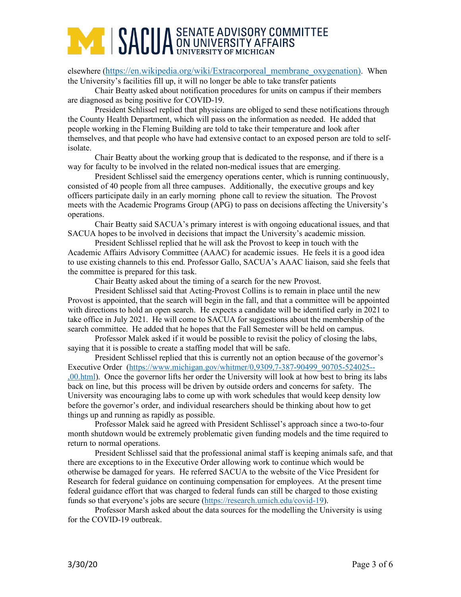# **ANDUA** SENATE ADVISORY COMMITTEE

elsewhere (https://en.wikipedia.org/wiki/Extracorporeal\_membrane\_oxygenation). When the University's facilities fill up, it will no longer be able to take transfer patients

Chair Beatty asked about notification procedures for units on campus if their members are diagnosed as being positive for COVID-19.

President Schlissel replied that physicians are obliged to send these notifications through the County Health Department, which will pass on the information as needed. He added that people working in the Fleming Building are told to take their temperature and look after themselves, and that people who have had extensive contact to an exposed person are told to selfisolate.

Chair Beatty about the working group that is dedicated to the response, and if there is a way for faculty to be involved in the related non-medical issues that are emerging.

President Schlissel said the emergency operations center, which is running continuously, consisted of 40 people from all three campuses. Additionally, the executive groups and key officers participate daily in an early morning phone call to review the situation. The Provost meets with the Academic Programs Group (APG) to pass on decisions affecting the University's operations.

Chair Beatty said SACUA's primary interest is with ongoing educational issues, and that SACUA hopes to be involved in decisions that impact the University's academic mission.

President Schlissel replied that he will ask the Provost to keep in touch with the Academic Affairs Advisory Committee (AAAC) for academic issues. He feels it is a good idea to use existing channels to this end. Professor Gallo, SACUA's AAAC liaison, said she feels that the committee is prepared for this task.

Chair Beatty asked about the timing of a search for the new Provost.

President Schlissel said that Acting-Provost Collins is to remain in place until the new Provost is appointed, that the search will begin in the fall, and that a committee will be appointed with directions to hold an open search. He expects a candidate will be identified early in 2021 to take office in July 2021. He will come to SACUA for suggestions about the membership of the search committee. He added that he hopes that the Fall Semester will be held on campus.

Professor Malek asked if it would be possible to revisit the policy of closing the labs, saying that it is possible to create a staffing model that will be safe.

President Schlissel replied that this is currently not an option because of the governor's Executive Order (https://www.michigan.gov/whitmer/0,9309,7-387-90499\_90705-524025-- ,00.html). Once the governor lifts her order the University will look at how best to bring its labs back on line, but this process will be driven by outside orders and concerns for safety. The University was encouraging labs to come up with work schedules that would keep density low before the governor's order, and individual researchers should be thinking about how to get things up and running as rapidly as possible.

Professor Malek said he agreed with President Schlissel's approach since a two-to-four month shutdown would be extremely problematic given funding models and the time required to return to normal operations.

President Schlissel said that the professional animal staff is keeping animals safe, and that there are exceptions to in the Executive Order allowing work to continue which would be otherwise be damaged for years. He referred SACUA to the website of the Vice President for Research for federal guidance on continuing compensation for employees. At the present time federal guidance effort that was charged to federal funds can still be charged to those existing funds so that everyone's jobs are secure (https://research.umich.edu/covid-19).

Professor Marsh asked about the data sources for the modelling the University is using for the COVID-19 outbreak.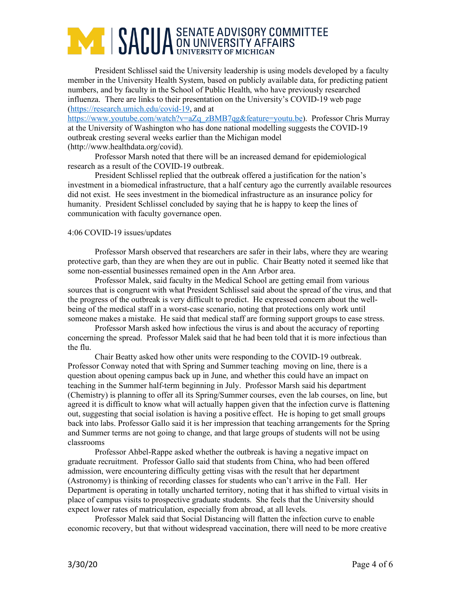# **ANDUA** SENATE ADVISORY COMMITTEE

President Schlissel said the University leadership is using models developed by a faculty member in the University Health System, based on publicly available data, for predicting patient numbers, and by faculty in the School of Public Health, who have previously researched influenza. There are links to their presentation on the University's COVID-19 web page (https://research.umich.edu/covid-19, and at

https://www.youtube.com/watch?v=aZq\_zBMB7qg&feature=youtu.be). Professor Chris Murray at the University of Washington who has done national modelling suggests the COVID-19 outbreak cresting several weeks earlier than the Michigan model (http://www.healthdata.org/covid).

Professor Marsh noted that there will be an increased demand for epidemiological research as a result of the COVID-19 outbreak.

President Schlissel replied that the outbreak offered a justification for the nation's investment in a biomedical infrastructure, that a half century ago the currently available resources did not exist. He sees investment in the biomedical infrastructure as an insurance policy for humanity. President Schlissel concluded by saying that he is happy to keep the lines of communication with faculty governance open.

### 4:06 COVID-19 issues/updates

Professor Marsh observed that researchers are safer in their labs, where they are wearing protective garb, than they are when they are out in public. Chair Beatty noted it seemed like that some non-essential businesses remained open in the Ann Arbor area.

Professor Malek, said faculty in the Medical School are getting email from various sources that is congruent with what President Schlissel said about the spread of the virus, and that the progress of the outbreak is very difficult to predict. He expressed concern about the wellbeing of the medical staff in a worst-case scenario, noting that protections only work until someone makes a mistake. He said that medical staff are forming support groups to ease stress.

Professor Marsh asked how infectious the virus is and about the accuracy of reporting concerning the spread. Professor Malek said that he had been told that it is more infectious than the flu.

Chair Beatty asked how other units were responding to the COVID-19 outbreak. Professor Conway noted that with Spring and Summer teaching moving on line, there is a question about opening campus back up in June, and whether this could have an impact on teaching in the Summer half-term beginning in July. Professor Marsh said his department (Chemistry) is planning to offer all its Spring/Summer courses, even the lab courses, on line, but agreed it is difficult to know what will actually happen given that the infection curve is flattening out, suggesting that social isolation is having a positive effect. He is hoping to get small groups back into labs. Professor Gallo said it is her impression that teaching arrangements for the Spring and Summer terms are not going to change, and that large groups of students will not be using classrooms

Professor Ahbel-Rappe asked whether the outbreak is having a negative impact on graduate recruitment. Professor Gallo said that students from China, who had been offered admission, were encountering difficulty getting visas with the result that her department (Astronomy) is thinking of recording classes for students who can't arrive in the Fall. Her Department is operating in totally uncharted territory, noting that it has shifted to virtual visits in place of campus visits to prospective graduate students. She feels that the University should expect lower rates of matriculation, especially from abroad, at all levels.

Professor Malek said that Social Distancing will flatten the infection curve to enable economic recovery, but that without widespread vaccination, there will need to be more creative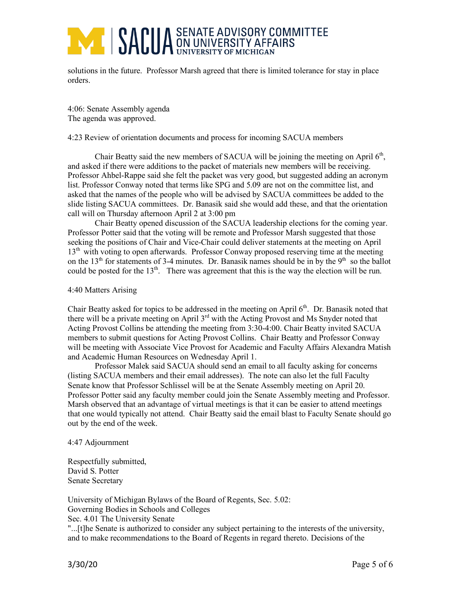# **ANDELLA SENATE ADVISORY COMMITTEE SACTLY AFFAIRS**

solutions in the future. Professor Marsh agreed that there is limited tolerance for stay in place orders.

4:06: Senate Assembly agenda The agenda was approved.

### 4:23 Review of orientation documents and process for incoming SACUA members

Chair Beatty said the new members of SACUA will be joining the meeting on April  $6<sup>th</sup>$ , and asked if there were additions to the packet of materials new members will be receiving. Professor Ahbel-Rappe said she felt the packet was very good, but suggested adding an acronym list. Professor Conway noted that terms like SPG and 5.09 are not on the committee list, and asked that the names of the people who will be advised by SACUA committees be added to the slide listing SACUA committees. Dr. Banasik said she would add these, and that the orientation call will on Thursday afternoon April 2 at 3:00 pm

Chair Beatty opened discussion of the SACUA leadership elections for the coming year. Professor Potter said that the voting will be remote and Professor Marsh suggested that those seeking the positions of Chair and Vice-Chair could deliver statements at the meeting on April 13<sup>th</sup> with voting to open afterwards. Professor Conway proposed reserving time at the meeting on the 13<sup>th</sup> for statements of 3-4 minutes. Dr. Banasik names should be in by the 9<sup>th</sup> so the ballot could be posted for the 13<sup>th</sup>. There was agreement that this is the way the election will be run.

#### 4:40 Matters Arising

Chair Beatty asked for topics to be addressed in the meeting on April 6<sup>th</sup>. Dr. Banasik noted that there will be a private meeting on April 3<sup>rd</sup> with the Acting Provost and Ms Snyder noted that Acting Provost Collins be attending the meeting from 3:30-4:00. Chair Beatty invited SACUA members to submit questions for Acting Provost Collins. Chair Beatty and Professor Conway will be meeting with Associate Vice Provost for Academic and Faculty Affairs Alexandra Matish and Academic Human Resources on Wednesday April 1.

Professor Malek said SACUA should send an email to all faculty asking for concerns (listing SACUA members and their email addresses). The note can also let the full Faculty Senate know that Professor Schlissel will be at the Senate Assembly meeting on April 20. Professor Potter said any faculty member could join the Senate Assembly meeting and Professor. Marsh observed that an advantage of virtual meetings is that it can be easier to attend meetings that one would typically not attend. Chair Beatty said the email blast to Faculty Senate should go out by the end of the week.

#### 4:47 Adjournment

Respectfully submitted, David S. Potter Senate Secretary

University of Michigan Bylaws of the Board of Regents, Sec. 5.02: Governing Bodies in Schools and Colleges Sec. 4.01 The University Senate

"...[t]he Senate is authorized to consider any subject pertaining to the interests of the university, and to make recommendations to the Board of Regents in regard thereto. Decisions of the